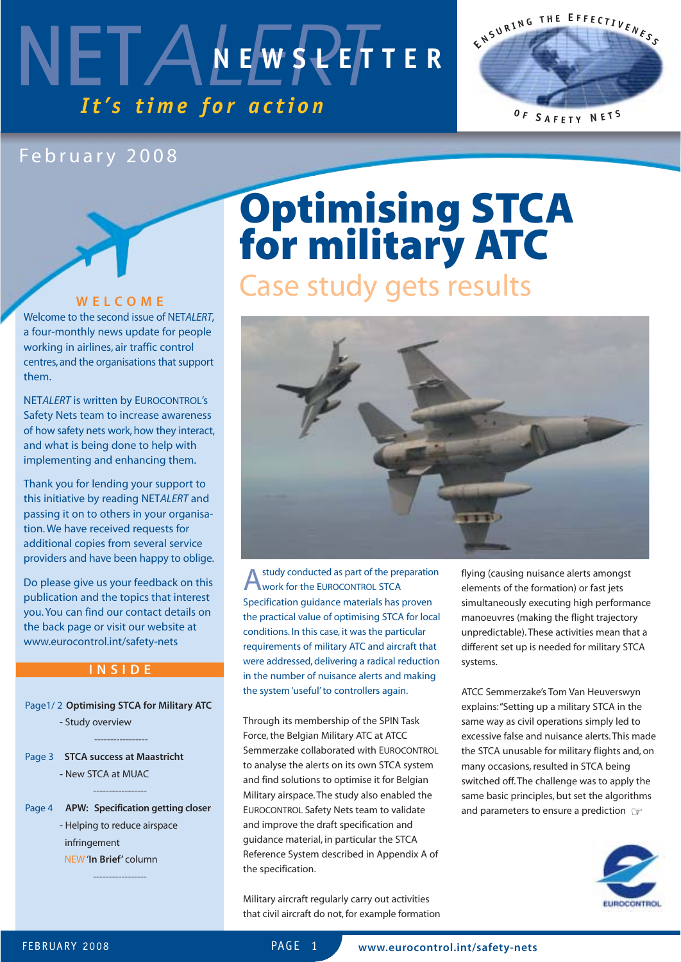



### February 2008

### **WELCOME**

Welcome to the second issue of NET*ALERT*, a four-monthly news update for people working in airlines, air traffic control centres, and the organisations that support them.

NET*ALERT* is written by EUROCONTROL's Safety Nets team to increase awareness of how safety nets work, how they interact, and what is being done to help with implementing and enhancing them.

Thank you for lending your support to this initiative by reading NET*ALERT* and passing it on to others in your organisation. We have received requests for additional copies from several service providers and have been happy to oblige.

Do please give us your feedback on this publication and the topics that interest you. You can find our contact details on the back page or visit our website at www.eurocontrol.int/safety-nets

### **INSIDE**

Page1/ 2 **Optimising STCA for Military ATC** - Study overview

-----------------

Page 3 **STCA success at Maastricht -** New STCA at MUAC

----------------- Page 4 **APW: Specification getting closer**

> - Helping to reduce airspace infringement NEW '**In Brief'** column

> > -----------------

# **Optimising STCA for military ATC** Case study gets results



study conducted as part of the preparation work for the EUROCONTROL STCA Specification guidance materials has proven the practical value of optimising STCA for local conditions. In this case, it was the particular requirements of military ATC and aircraft that were addressed, delivering a radical reduction in the number of nuisance alerts and making the system 'useful' to controllers again.

Through its membership of the SPIN Task Force, the Belgian Military ATC at ATCC Semmerzake collaborated with EUROCONTROL to analyse the alerts on its own STCA system and find solutions to optimise it for Belgian Military airspace. The study also enabled the EUROCONTROL Safety Nets team to validate and improve the draft specification and guidance material, in particular the STCA Reference System described in Appendix A of the specification.

Military aircraft regularly carry out activities that civil aircraft do not, for example formation flying (causing nuisance alerts amongst elements of the formation) or fast jets simultaneously executing high performance manoeuvres (making the flight trajectory unpredictable). These activities mean that a different set up is needed for military STCA systems.

ATCC Semmerzake's Tom Van Heuverswyn explains:"Setting up a military STCA in the same way as civil operations simply led to excessive false and nuisance alerts. This made the STCA unusable for military flights and, on many occasions, resulted in STCA being switched off. The challenge was to apply the same basic principles, but set the algorithms and parameters to ensure a prediction ☞

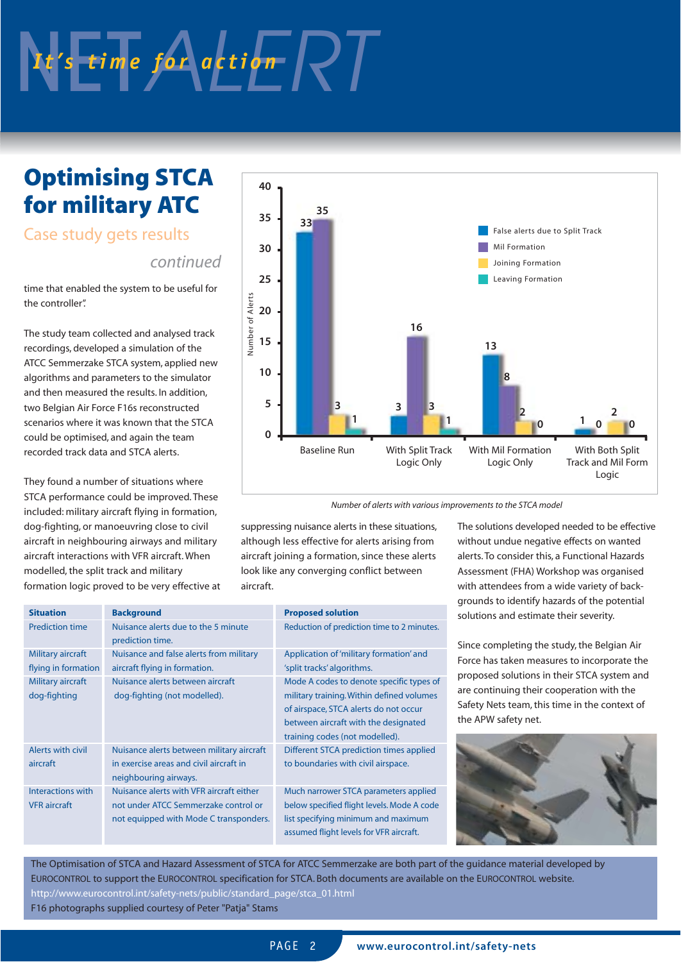# It's time for action RT

### **Optimising STCA for military ATC**

### Case study gets results

### *continued*

time that enabled the system to be useful for the controller".

The study team collected and analysed track recordings, developed a simulation of the ATCC Semmerzake STCA system, applied new algorithms and parameters to the simulator and then measured the results. In addition, two Belgian Air Force F16s reconstructed scenarios where it was known that the STCA could be optimised, and again the team recorded track data and STCA alerts.

They found a number of situations where STCA performance could be improved. These included: military aircraft flying in formation, dog-fighting, or manoeuvring close to civil aircraft in neighbouring airways and military aircraft interactions with VFR aircraft. When modelled, the split track and military formation logic proved to be very effective at



*Number of alerts with various improvements to the STCA model*

suppressing nuisance alerts in these situations, although less effective for alerts arising from aircraft joining a formation, since these alerts look like any converging conflict between aircraft.

| <b>Background</b>                         | <b>Proposed solution</b>                   |
|-------------------------------------------|--------------------------------------------|
| Nuisance alerts due to the 5 minute       | Reduction of prediction time to 2 minutes. |
| prediction time.                          |                                            |
| Nuisance and false alerts from military   | Application of 'military formation' and    |
| aircraft flying in formation.             | 'split tracks' algorithms.                 |
| Nuisance alerts between aircraft          | Mode A codes to denote specific types of   |
| dog-fighting (not modelled).              | military training. Within defined volumes  |
|                                           | of airspace, STCA alerts do not occur      |
|                                           | between aircraft with the designated       |
|                                           | training codes (not modelled).             |
| Nuisance alerts between military aircraft | Different STCA prediction times applied    |
| in exercise areas and civil aircraft in   | to boundaries with civil airspace.         |
| neighbouring airways.                     |                                            |
| Nuisance alerts with VFR aircraft either  | Much narrower STCA parameters applied      |
| not under ATCC Semmerzake control or      | below specified flight levels. Mode A code |
| not equipped with Mode C transponders.    | list specifying minimum and maximum        |
|                                           | assumed flight levels for VFR aircraft.    |
|                                           |                                            |

The solutions developed needed to be effective without undue negative effects on wanted alerts. To consider this, a Functional Hazards Assessment (FHA) Workshop was organised with attendees from a wide variety of backgrounds to identify hazards of the potential solutions and estimate their severity.

Since completing the study, the Belgian Air Force has taken measures to incorporate the proposed solutions in their STCA system and are continuing their cooperation with the Safety Nets team, this time in the context of the APW safety net.



The Optimisation of STCA and Hazard Assessment of STCA for ATCC Semmerzake are both part of the guidance material developed by EUROCONTROL to support the EUROCONTROL specification for STCA. Both documents are available on the EUROCONTROL website. http://www.eurocontrol.int/safety-nets/public/standard\_page/stca\_01.html F16 photographs supplied courtesy of Peter "Patja" Stams

PAGF<sub>2</sub>

**www.eurocontrol.int/safety-nets**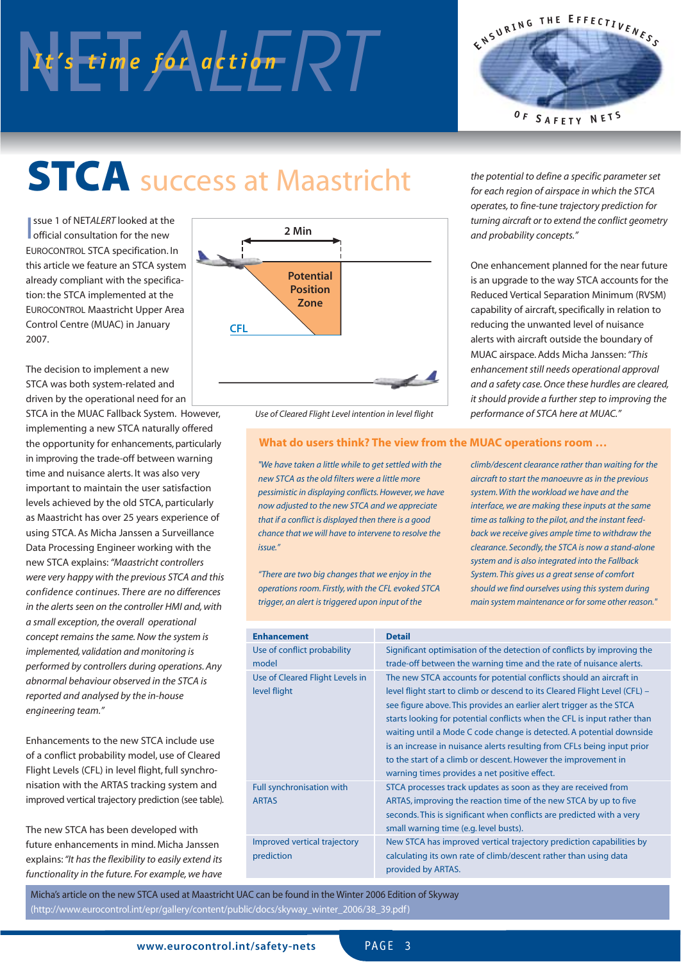# NES time for action RT



# **STCA** success at Maastricht

**I** ssue 1 of NETALERT looked at the official consultation for the new official consultation for the new EUROCONTROL STCA specification. In this article we feature an STCA system already compliant with the specification: the STCA implemented at the EUROCONTROL Maastricht Upper Area Control Centre (MUAC) in January 2007.

The decision to implement a new STCA was both system-related and driven by the operational need for an

STCA in the MUAC Fallback System. However, implementing a new STCA naturally offered the opportunity for enhancements, particularly in improving the trade-off between warning time and nuisance alerts. It was also very important to maintain the user satisfaction levels achieved by the old STCA, particularly as Maastricht has over 25 years experience of using STCA. As Micha Janssen a Surveillance Data Processing Engineer working with the new STCA explains:*"Maastricht controllers were very happy with the previous STCA and this confidence continues. There are no differences in the alerts seen on the controller HMI and, with a small exception, the overall operational concept remains the same. Now the system is implemented, validation and monitoring is performed by controllers during operations. Any abnormal behaviour observed in the STCA is reported and analysed by the in-house engineering team."*

Enhancements to the new STCA include use of a conflict probability model, use of Cleared Flight Levels (CFL) in level flight, full synchronisation with the ARTAS tracking system and improved vertical trajectory prediction (see table).

The new STCA has been developed with future enhancements in mind. Micha Janssen explains:*"It has the flexibility to easily extend its functionality in the future. For example, we have*



*Use of Cleared Flight Level intention in level flight*

### **What do users think? The view from the MUAC operations room …**

*"We have taken a little while to get settled with the new STCA as the old filters were a little more pessimistic in displaying conflicts. However, we have now adjusted to the new STCA and we appreciate that if a conflict is displayed then there is a good chance that we will have to intervene to resolve the issue."*

*"There are two big changes that we enjoy in the operations room. Firstly, with the CFL evoked STCA trigger, an alert is triggered upon input of the*

*the potential to define a specific parameter set for each region of airspace in which the STCA operates, to fine-tune trajectory prediction for turning aircraft or to extend the conflict geometry and probability concepts."*

One enhancement planned for the near future is an upgrade to the way STCA accounts for the Reduced Vertical Separation Minimum (RVSM) capability of aircraft, specifically in relation to reducing the unwanted level of nuisance alerts with aircraft outside the boundary of MUAC airspace. Adds Micha Janssen:*"This enhancement still needs operational approval and a safety case. Once these hurdles are cleared, it should provide a further step to improving the performance of STCA here at MUAC."*

*climb/descent clearance rather than waiting for the aircraft to start the manoeuvre as in the previous system. With the workload we have and the interface, we are making these inputs at the same time as talking to the pilot, and the instant feedback we receive gives ample time to withdraw the clearance. Secondly, the STCA is now a stand-alone system and is also integrated into the Fallback System. This gives us a great sense of comfort should we find ourselves using this system during main system maintenance or for some other reason."*

| <b>Enhancement</b>              | <b>Detail</b>                                                              |
|---------------------------------|----------------------------------------------------------------------------|
| Use of conflict probability     | Significant optimisation of the detection of conflicts by improving the    |
| model                           | trade-off between the warning time and the rate of nuisance alerts.        |
| Use of Cleared Flight Levels in | The new STCA accounts for potential conflicts should an aircraft in        |
| level flight                    | level flight start to climb or descend to its Cleared Flight Level (CFL) – |
|                                 | see figure above. This provides an earlier alert trigger as the STCA       |
|                                 | starts looking for potential conflicts when the CFL is input rather than   |
|                                 | waiting until a Mode C code change is detected. A potential downside       |
|                                 | is an increase in nuisance alerts resulting from CFLs being input prior    |
|                                 | to the start of a climb or descent. However the improvement in             |
|                                 | warning times provides a net positive effect.                              |
| Full synchronisation with       | STCA processes track updates as soon as they are received from             |
| <b>ARTAS</b>                    | ARTAS, improving the reaction time of the new STCA by up to five           |
|                                 | seconds. This is significant when conflicts are predicted with a very      |
|                                 | small warning time (e.g. level busts).                                     |
| Improved vertical trajectory    | New STCA has improved vertical trajectory prediction capabilities by       |
| prediction                      | calculating its own rate of climb/descent rather than using data           |
|                                 | provided by ARTAS.                                                         |

Micha's article on the new STCA used at Maastricht UAC can be found in the Winter 2006 Edition of Skyway (http://www.eurocontrol.int/epr/gallery/content/public/docs/skyway\_winter\_2006/38\_39.pdf)